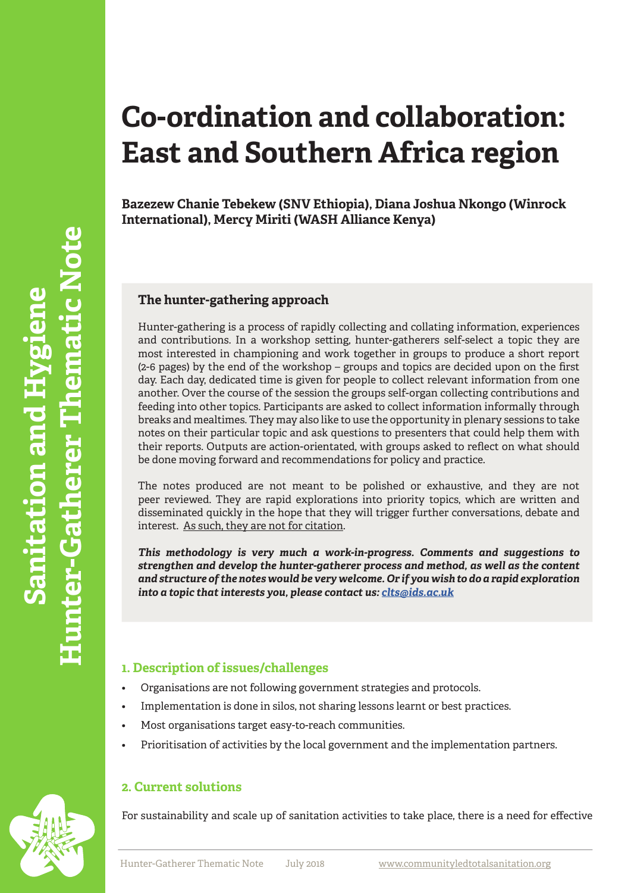# **Co-ordination and collaboration: East and Southern Africa region**

**Bazezew Chanie Tebekew (SNV Ethiopia), Diana Joshua Nkongo (Winrock International), Mercy Miriti (WASH Alliance Kenya)**

#### **The hunter-gathering approach**

Hunter-gathering is a process of rapidly collecting and collating information, experiences and contributions. In a workshop setting, hunter-gatherers self-select a topic they are most interested in championing and work together in groups to produce a short report (2-6 pages) by the end of the workshop – groups and topics are decided upon on the first day. Each day, dedicated time is given for people to collect relevant information from one another. Over the course of the session the groups self-organ collecting contributions and feeding into other topics. Participants are asked to collect information informally through breaks and mealtimes. They may also like to use the opportunity in plenary sessions to take notes on their particular topic and ask questions to presenters that could help them with their reports. Outputs are action-orientated, with groups asked to reflect on what should be done moving forward and recommendations for policy and practice.

The notes produced are not meant to be polished or exhaustive, and they are not peer reviewed. They are rapid explorations into priority topics, which are written and disseminated quickly in the hope that they will trigger further conversations, debate and interest. <u>As such, they are not for citation</u>.

*This methodology is very much a work-in-progress. Comments and suggestions to strengthen and develop the hunter-gatherer process and method, as well as the content and structure of the notes would be very welcome. Or if you wish to do a rapid exploration into a topic that interests you, please contact us: clts@ids.ac.uk*

## **1. Description of issues/challenges**

- Organisations are not following government strategies and protocols.
- Implementation is done in silos, not sharing lessons learnt or best practices.
- Most organisations target easy-to-reach communities.
- Prioritisation of activities by the local government and the implementation partners.

### **2. Current solutions**

For sustainability and scale up of sanitation activities to take place, there is a need for effective